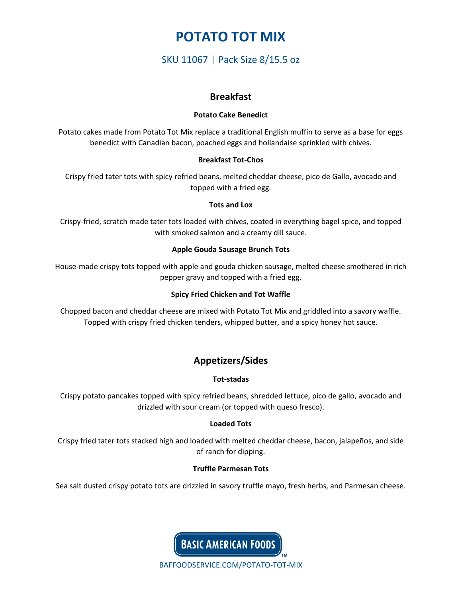# **POTATO TOT MIX**

SKU 11067 | Pack Size 8/15.5 oz

# **Breakfast**

### **Potato Cake Benedict**

Potato cakes made from Potato Tot Mix replace a traditional English muffin to serve as a base for eggs benedict with Canadian bacon, poached eggs and hollandaise sprinkled with chives.

## **Breakfast Tot-Chos**

Crispy fried tater tots with spicy refried beans, melted cheddar cheese, pico de Gallo, avocado and topped with a fried egg.

## **Tots and Lox**

Crispy-fried, scratch made tater tots loaded with chives, coated in everything bagel spice, and topped with smoked salmon and a creamy dill sauce.

## **Apple Gouda Sausage Brunch Tots**

House-made crispy tots topped with apple and gouda chicken sausage, melted cheese smothered in rich pepper gravy and topped with a fried egg.

### **Spicy Fried Chicken and Tot Waffle**

Chopped bacon and cheddar cheese are mixed with Potato Tot Mix and griddled into a savory waffle. Topped with crispy fried chicken tenders, whipped butter, and a spicy honey hot sauce.

# **Appetizers/Sides**

### **Tot-stadas**

Crispy potato pancakes topped with spicy refried beans, shredded lettuce, pico de gallo, avocado and drizzled with sour cream (or topped with queso fresco).

## **Loaded Tots**

Crispy fried tater tots stacked high and loaded with melted cheddar cheese, bacon, jalapeños, and side of ranch for dipping.

## **Truffle Parmesan Tots**

Sea salt dusted crispy potato tots are drizzled in savory truffle mayo, fresh herbs, and Parmesan cheese.



BAFFOODSERVICE.COM/POTATO-TOT-MIX